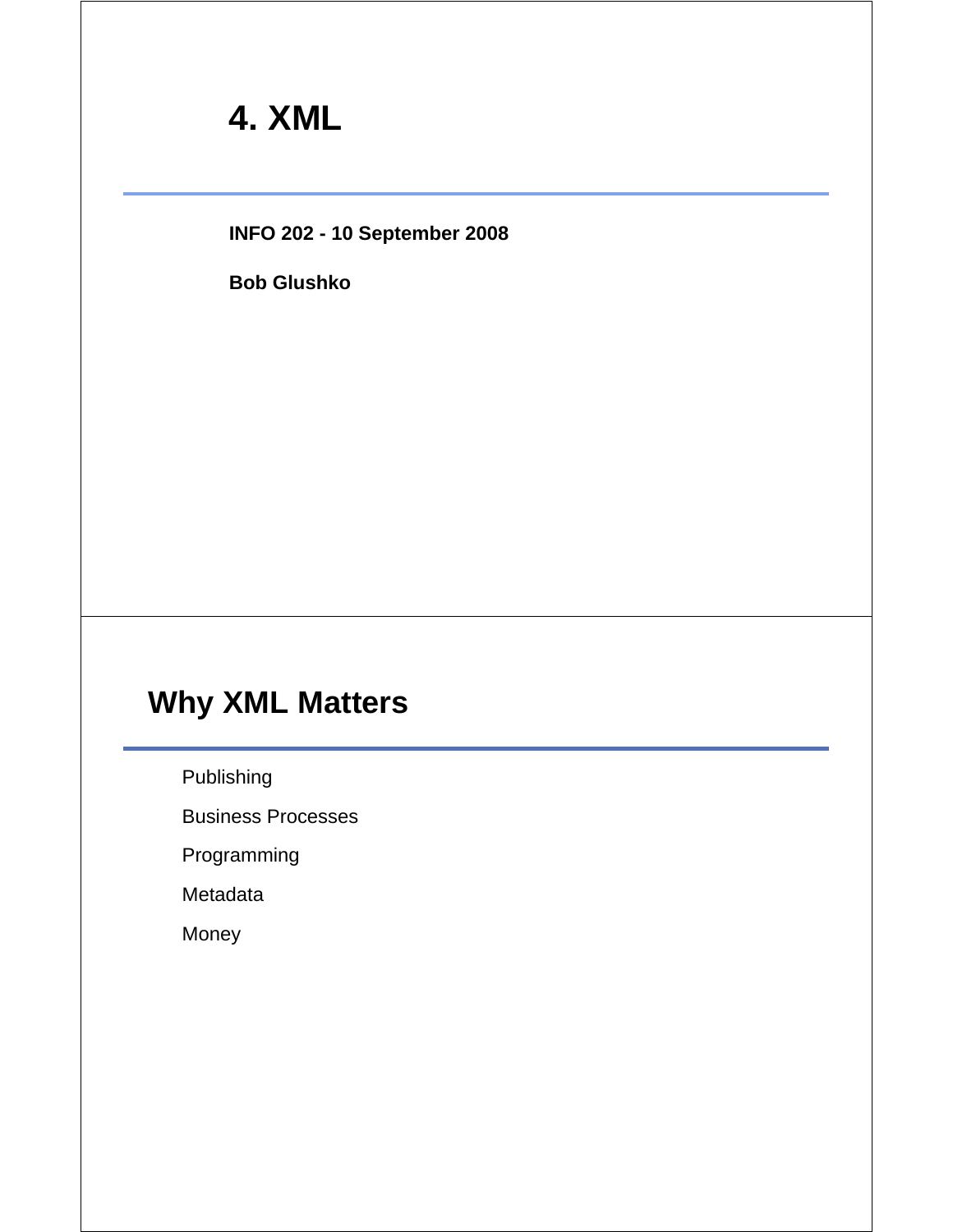# **4. XML**

**INFO 202 - 10 September 2008**

**Bob Glushko**

# **Why XML Matters**

Publishing

Business Processes

Programming

Metadata

Money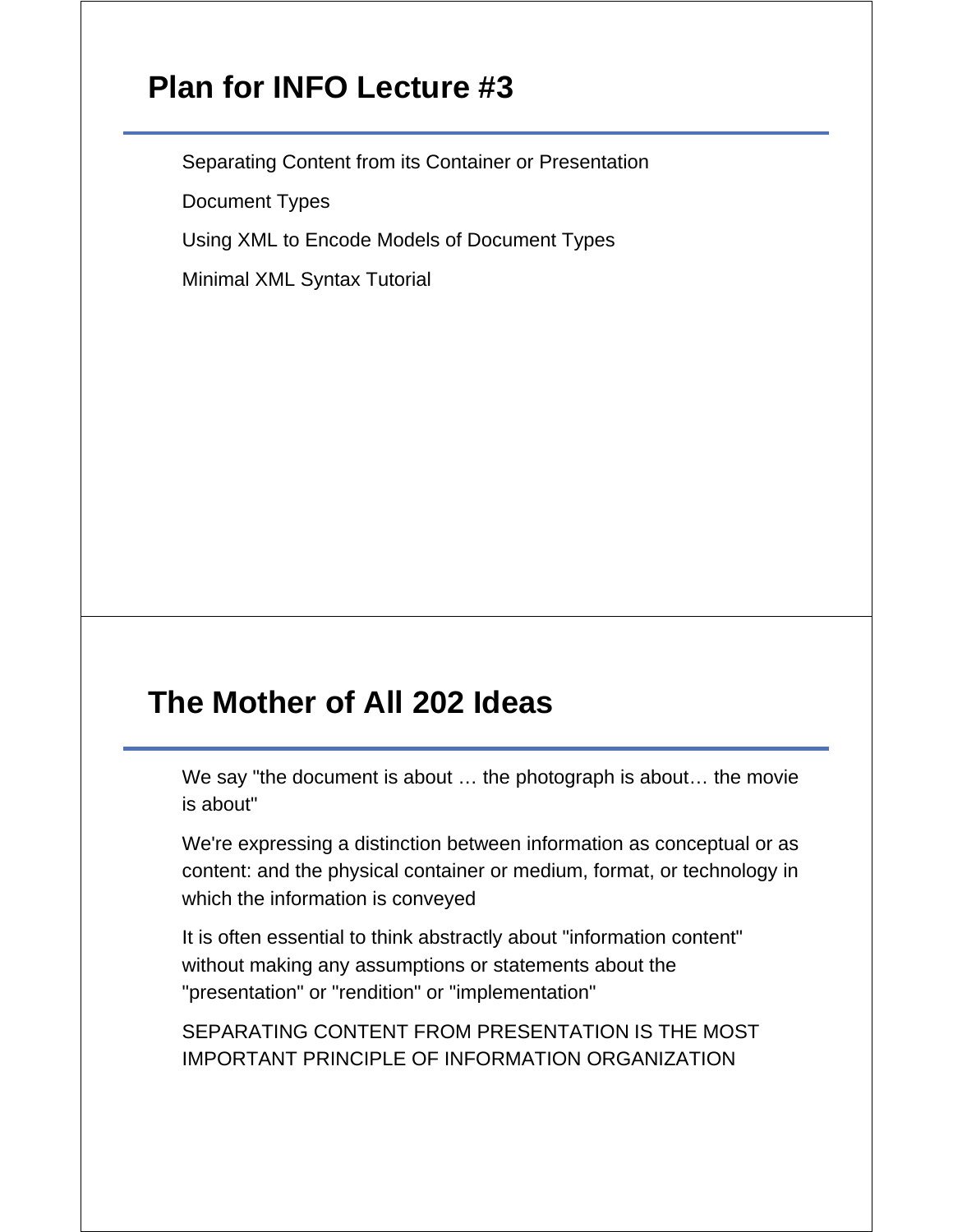## **Plan for INFO Lecture #3**

Separating Content from its Container or Presentation

Document Types

Using XML to Encode Models of Document Types

Minimal XML Syntax Tutorial

#### **The Mother of All 202 Ideas**

We say "the document is about … the photograph is about… the movie is about"

We're expressing a distinction between information as conceptual or as content: and the physical container or medium, format, or technology in which the information is conveyed

It is often essential to think abstractly about "information content" without making any assumptions or statements about the "presentation" or "rendition" or "implementation"

SEPARATING CONTENT FROM PRESENTATION IS THE MOST IMPORTANT PRINCIPLE OF INFORMATION ORGANIZATION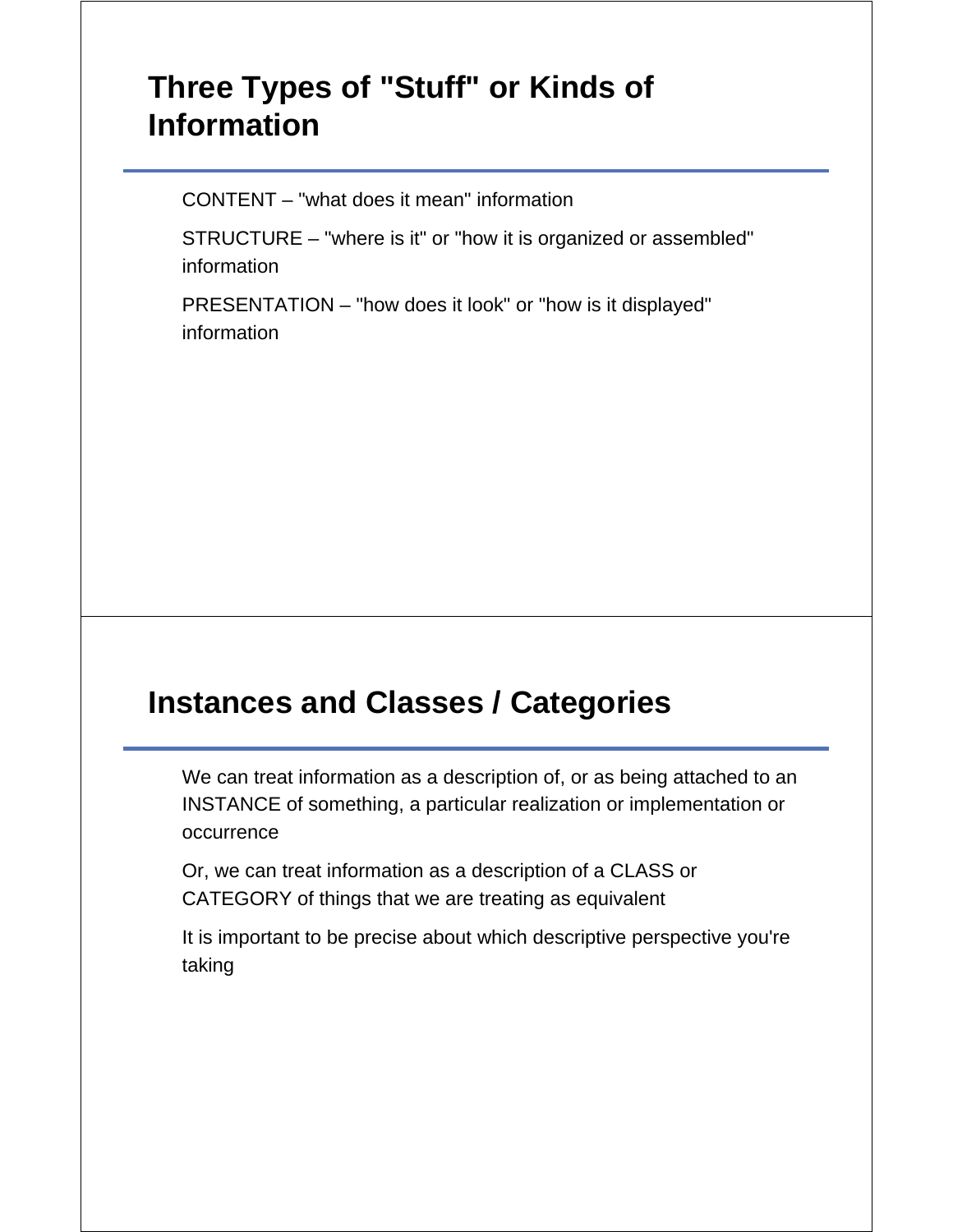# **Three Types of "Stuff" or Kinds of Information**

CONTENT – "what does it mean" information

STRUCTURE – "where is it" or "how it is organized or assembled" information

PRESENTATION – "how does it look" or "how is it displayed" information

# **Instances and Classes / Categories**

We can treat information as a description of, or as being attached to an INSTANCE of something, a particular realization or implementation or occurrence

Or, we can treat information as a description of a CLASS or CATEGORY of things that we are treating as equivalent

It is important to be precise about which descriptive perspective you're taking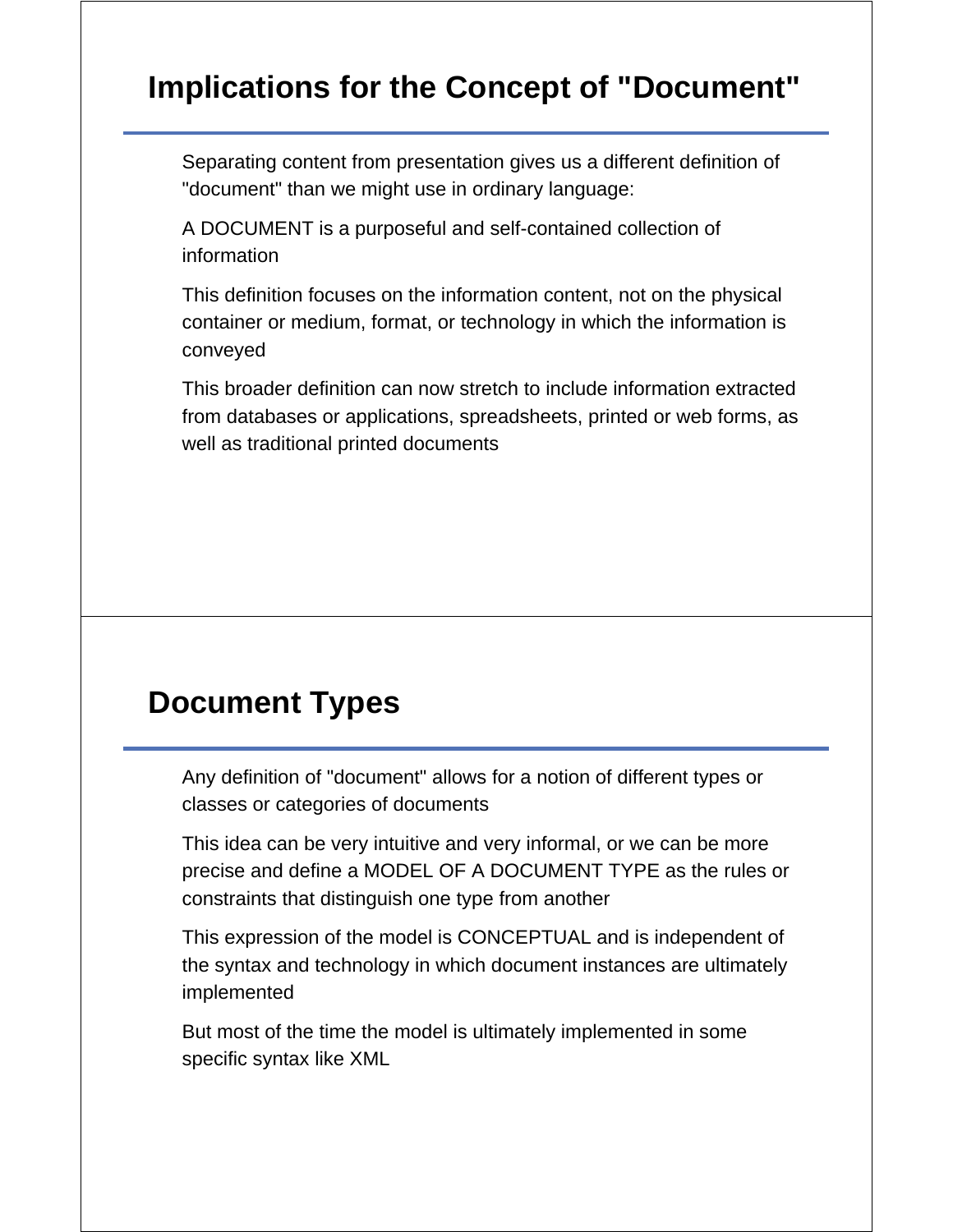# **Implications for the Concept of "Document"**

Separating content from presentation gives us a different definition of "document" than we might use in ordinary language:

A DOCUMENT is a purposeful and self-contained collection of information

This definition focuses on the information content, not on the physical container or medium, format, or technology in which the information is conveyed

This broader definition can now stretch to include information extracted from databases or applications, spreadsheets, printed or web forms, as well as traditional printed documents

#### **Document Types**

Any definition of "document" allows for a notion of different types or classes or categories of documents

This idea can be very intuitive and very informal, or we can be more precise and define a MODEL OF A DOCUMENT TYPE as the rules or constraints that distinguish one type from another

This expression of the model is CONCEPTUAL and is independent of the syntax and technology in which document instances are ultimately implemented

But most of the time the model is ultimately implemented in some specific syntax like XML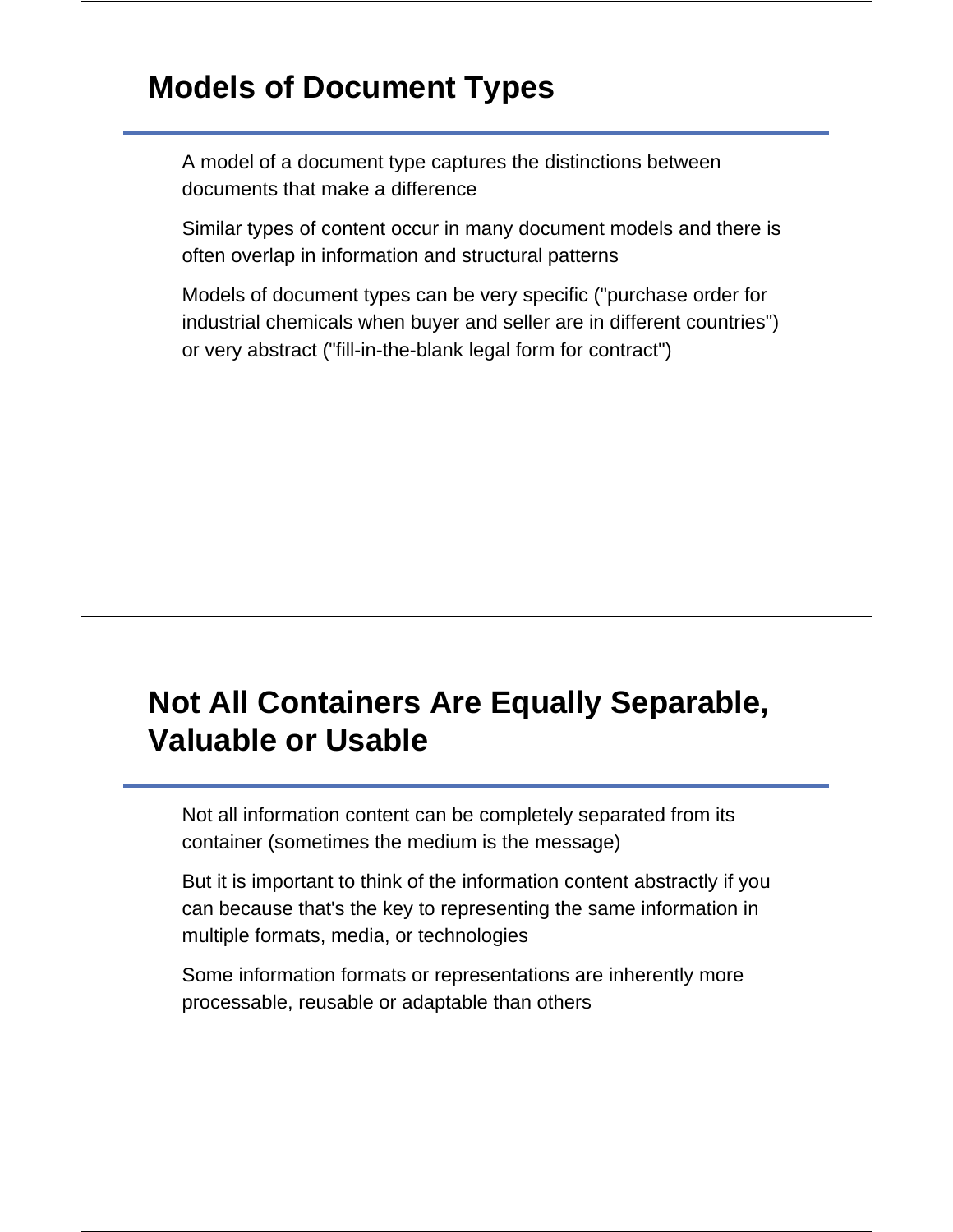# **Models of Document Types**

A model of a document type captures the distinctions between documents that make a difference

Similar types of content occur in many document models and there is often overlap in information and structural patterns

Models of document types can be very specific ("purchase order for industrial chemicals when buyer and seller are in different countries") or very abstract ("fill-in-the-blank legal form for contract")

# **Not All Containers Are Equally Separable, Valuable or Usable**

Not all information content can be completely separated from its container (sometimes the medium is the message)

But it is important to think of the information content abstractly if you can because that's the key to representing the same information in multiple formats, media, or technologies

Some information formats or representations are inherently more processable, reusable or adaptable than others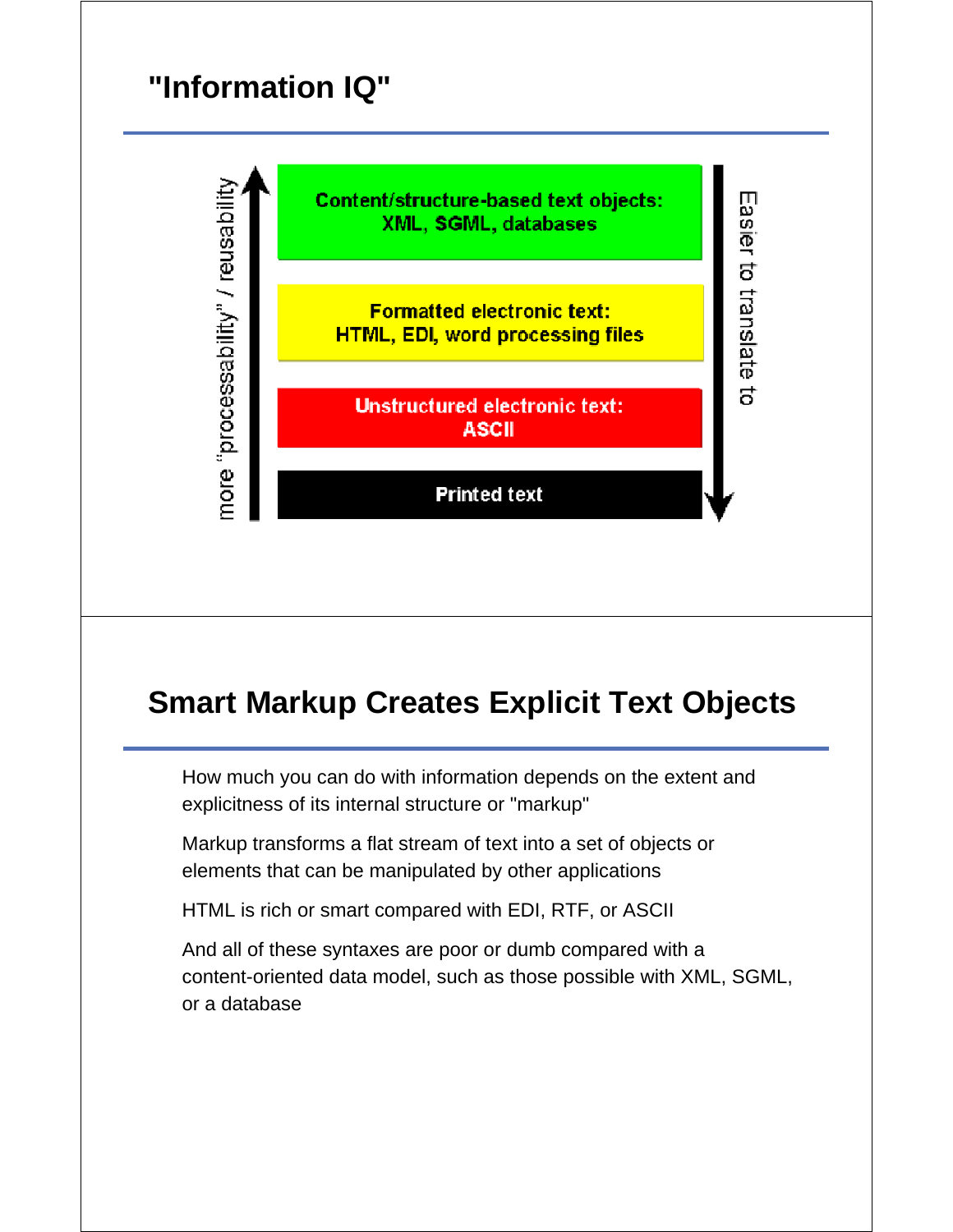# **"Information IQ"**



# **Smart Markup Creates Explicit Text Objects**

How much you can do with information depends on the extent and explicitness of its internal structure or "markup"

Markup transforms a flat stream of text into a set of objects or elements that can be manipulated by other applications

HTML is rich or smart compared with EDI, RTF, or ASCII

And all of these syntaxes are poor or dumb compared with a content-oriented data model, such as those possible with XML, SGML, or a database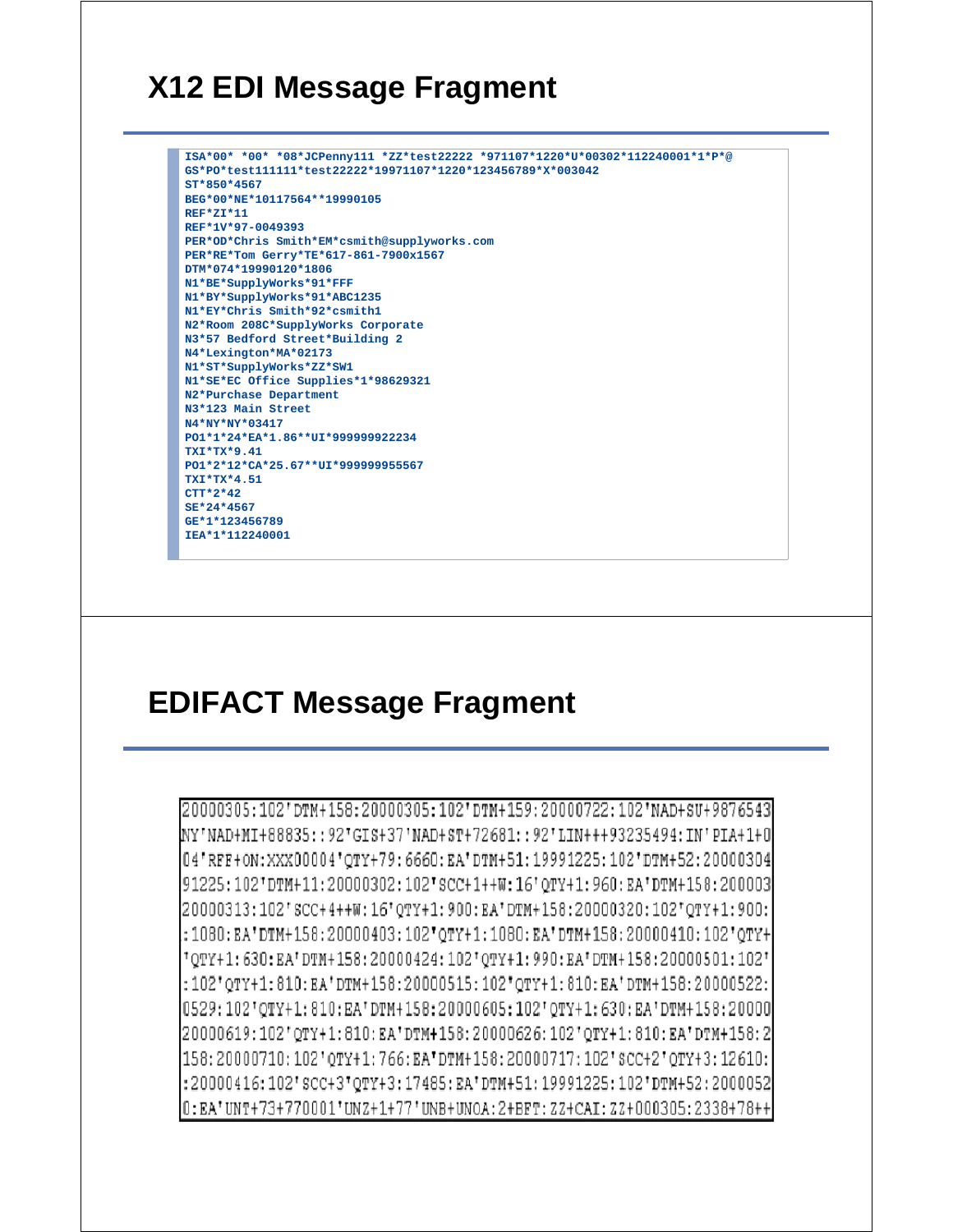#### **X12 EDI Message Fragment**

```
ISA*00* *00* *08*JCPenny111 *ZZ*test22222 *971107*1220*U*00302*112240001*1*P*@
GS*PO*test111111*test22222*19971107*1220*123456789*X*003042
ST*850*4567
BEG*00*NE*10117564**19990105
REF*ZI*11
REF*1V*97-0049393
PER*OD*Chris Smith*EM*csmith@supplyworks.com
PER*RE*Tom Gerry*TE*617-861-7900x1567
DTM*074*19990120*1806
N1*BE*SupplyWorks*91*FFF
N1*BY*SupplyWorks*91*ABC1235
N1*EY*Chris Smith*92*csmith1
N2*Room 208C*SupplyWorks Corporate
N3*57 Bedford Street*Building 2
N4*Lexington*MA*02173
N1*ST*SupplyWorks*ZZ*SW1
N1*SE*EC Office Supplies*1*98629321
N2*Purchase Department
N3*123 Main Street
N4*NY*NY*03417
PO1*1*24*EA*1.86**UI*999999922234
TXI*TX*9.41
PO1*2*12*CA*25.67**UI*999999955567
TXI*TX*4.51
CTT*2*42
SE*24*4567
GE*1*123456789
IEA*1*112240001
```
# **EDIFACT Message Fragment**

20000305:102'DTM+158:20000305:102'DTM+159:20000722:102'NAD+SU+9876543 INY'NAD+MI+88835::92'GIS+37'NAD+ST+72681::92'LIN+++93235494:IN'PIA+1+0| 04'RFF+0N:XXX00004'QTY+79:6660:EA'DTM+51:19991225:102'DTM+52:20000304 91225:102'DTM+11:20000302:102'SCC+1++W:16'QTY+1:960:EA'DTM+158:200003 20000313:102'SCC+4++W:16'OTY+1:900:EA'DTM+158:20000320:102'OTY+1:900: :1080:EA'DTM+158:20000403:102'OTY+1:1080:EA'DTM+158:20000410:102'OTY+ "OTY+1:630:EA'DTM+158:20000424:102'QTY+1:990:EA'DTM+158:20000501:102'  $:102"$ QTY+1:810:EA'DTM+158:20000515:102'QTY+1:810:EA'DTM+158:20000522: 0529:102'QTY+1:810:EA'DTM+158:20000605:102'QTY+1:630:EA'DTM+158:20000 20000619:102'0TY+1:810:EA'DTM+158:20000626:102'0TY+1:810:EA'DTM+158:2 |158:20000710:102'0TY+1:766:EA'DTM+158:20000717:102'SCC+2'0TY+3:12610: :20000416:102'scc+3'QTY+3:17485:EA'DTM+51:19991225:102'DTM+52:2000052 0:EA'UNT+73+770001'UNZ+1+77'UNB+UNOA:2+BFT:ZZ+CAI:ZZ+000305:2338+78++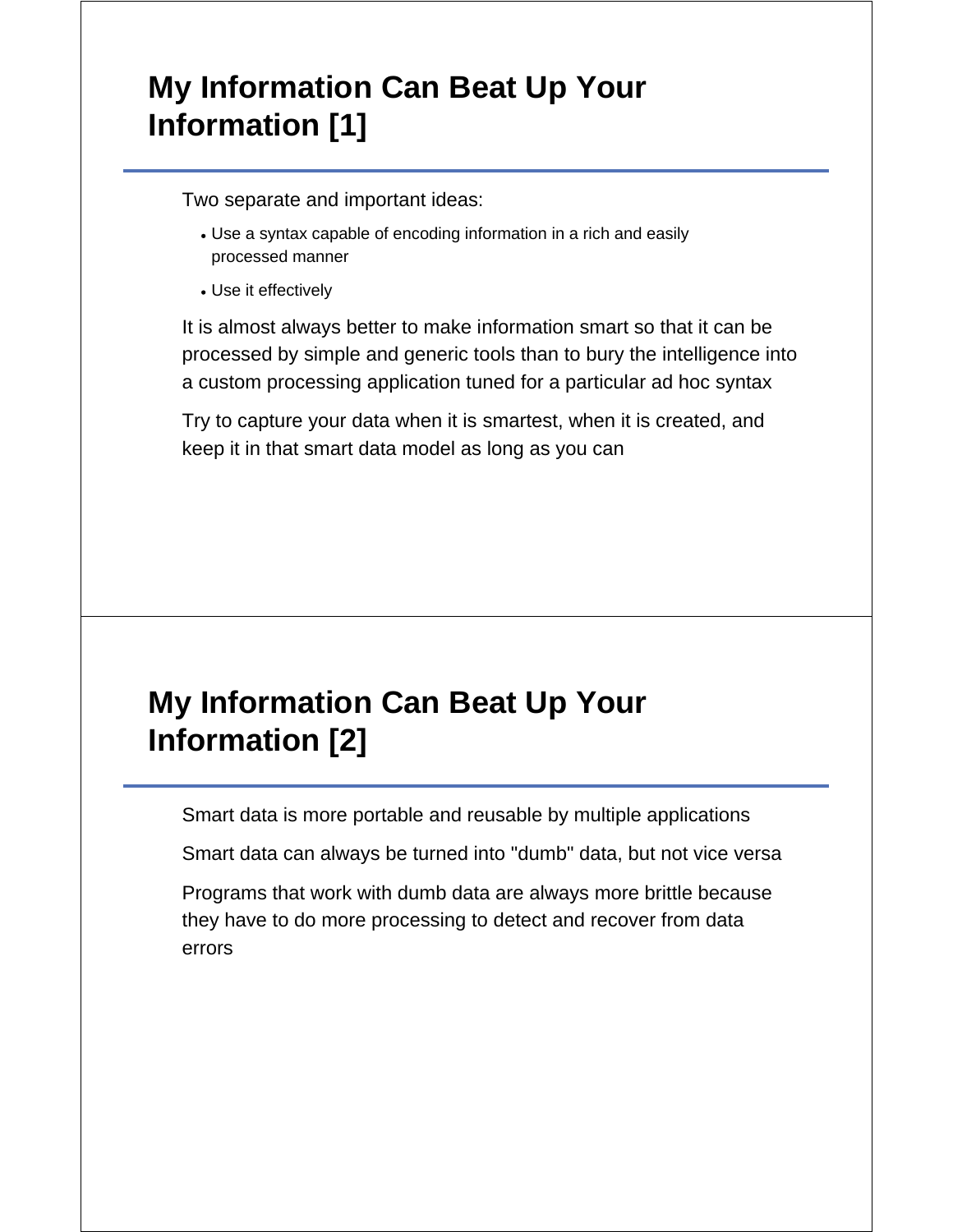# **My Information Can Beat Up Your Information [1]**

Two separate and important ideas:

- Use a syntax capable of encoding information in a rich and easily processed manner
- Use it effectively

It is almost always better to make information smart so that it can be processed by simple and generic tools than to bury the intelligence into a custom processing application tuned for a particular ad hoc syntax

Try to capture your data when it is smartest, when it is created, and keep it in that smart data model as long as you can

# **My Information Can Beat Up Your Information [2]**

Smart data is more portable and reusable by multiple applications

Smart data can always be turned into "dumb" data, but not vice versa

Programs that work with dumb data are always more brittle because they have to do more processing to detect and recover from data errors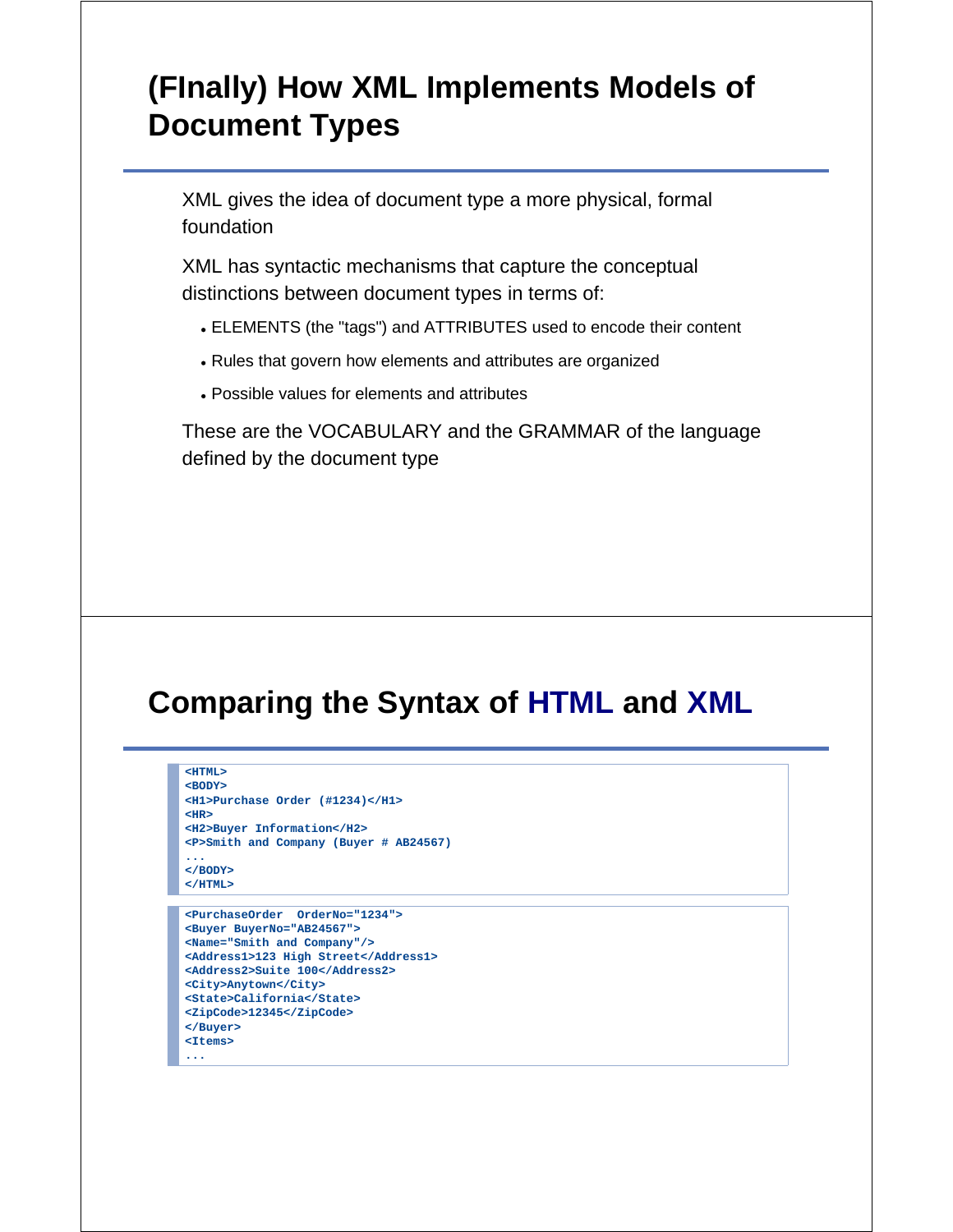# **(FInally) How XML Implements Models of Document Types**

XML gives the idea of document type a more physical, formal foundation

XML has syntactic mechanisms that capture the conceptual distinctions between document types in terms of:

- ELEMENTS (the "tags") and ATTRIBUTES used to encode their content
- Rules that govern how elements and attributes are organized
- Possible values for elements and attributes

These are the VOCABULARY and the GRAMMAR of the language defined by the document type

# **Comparing the Syntax of HTML and XML**

```
<HTML>
<BODY>
<H1>Purchase Order (#1234)</H1>
<HR>
<H2>Buyer Information</H2>
<P>Smith and Company (Buyer # AB24567)
...
</BODY>
</HTML>
```

```
<PurchaseOrder OrderNo="1234">
<Buyer BuyerNo="AB24567">
<Name="Smith and Company"/>
<Address1>123 High Street</Address1>
<Address2>Suite 100</Address2>
<City>Anytown</City>
<State>California</State>
<ZipCode>12345</ZipCode>
</Buyer>
<Items>
...
```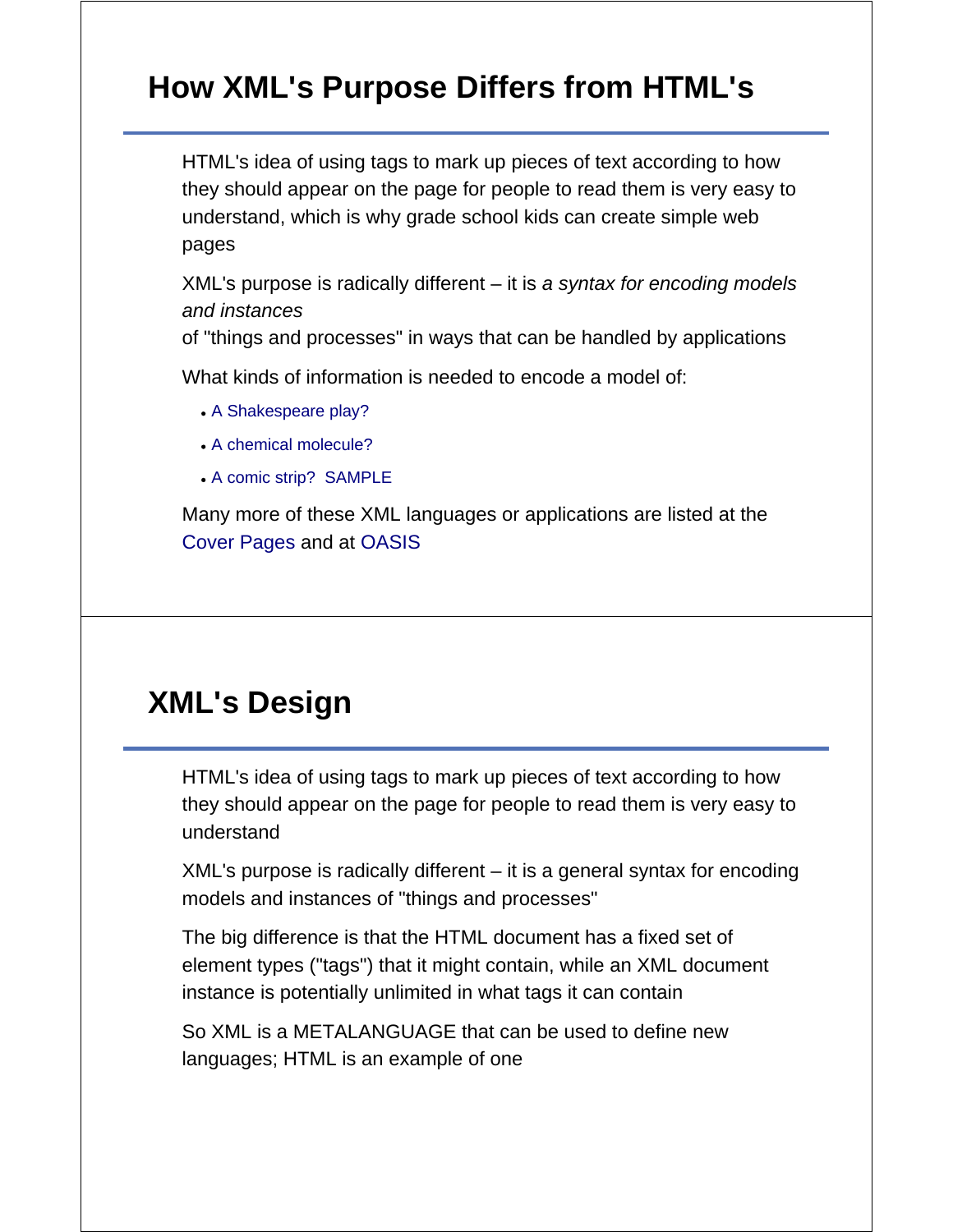# **How XML's Purpose Differs from HTML's**

HTML's idea of using tags to mark up pieces of text according to how they should appear on the page for people to read them is very easy to understand, which is why grade school kids can create simple web pages

XML's purpose is radically different – it is *a syntax for encoding models and instances*

of "things and processes" in ways that can be handled by applications

What kinds of information is needed to encode a model of:

- A Shakespeare play?
- A chemical molecule?
- A comic strip? SAMPLE

Many more of these XML languages or applications are listed at the Cover Pages and at OASIS

### **XML's Design**

HTML's idea of using tags to mark up pieces of text according to how they should appear on the page for people to read them is very easy to understand

XML's purpose is radically different – it is a general syntax for encoding models and instances of "things and processes"

The big difference is that the HTML document has a fixed set of element types ("tags") that it might contain, while an XML document instance is potentially unlimited in what tags it can contain

So XML is a METALANGUAGE that can be used to define new languages; HTML is an example of one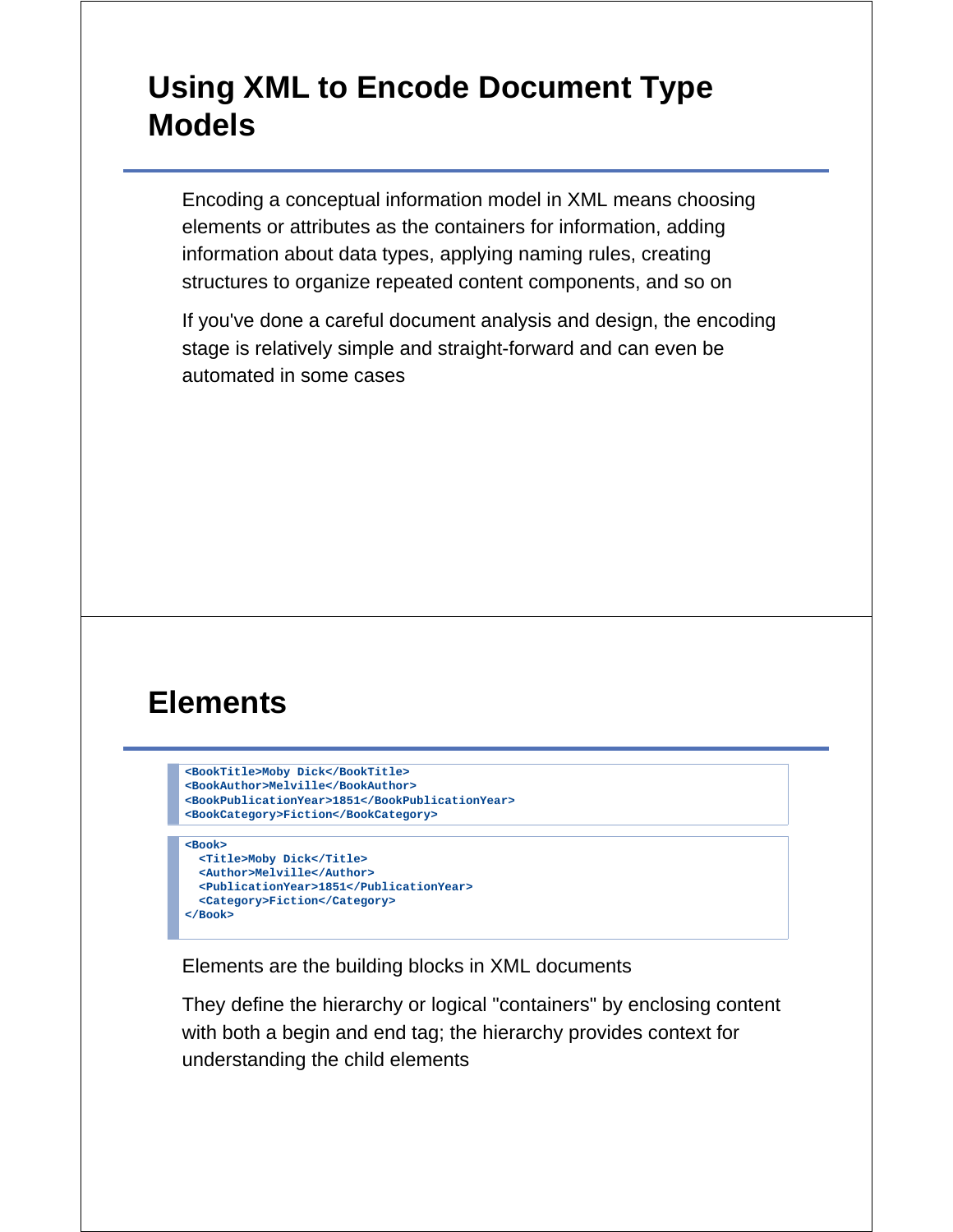# **Using XML to Encode Document Type Models**

Encoding a conceptual information model in XML means choosing elements or attributes as the containers for information, adding information about data types, applying naming rules, creating structures to organize repeated content components, and so on

If you've done a careful document analysis and design, the encoding stage is relatively simple and straight-forward and can even be automated in some cases

# **Elements**

```
<BookTitle>Moby Dick</BookTitle>
<BookAuthor>Melville</BookAuthor>
<BookPublicationYear>1851</BookPublicationYear>
<BookCategory>Fiction</BookCategory>
```

```
<Book>
  <Title>Moby Dick</Title>
  <Author>Melville</Author>
  <PublicationYear>1851</PublicationYear>
  <Category>Fiction</Category>
</Book>
```
Elements are the building blocks in XML documents

They define the hierarchy or logical "containers" by enclosing content with both a begin and end tag; the hierarchy provides context for understanding the child elements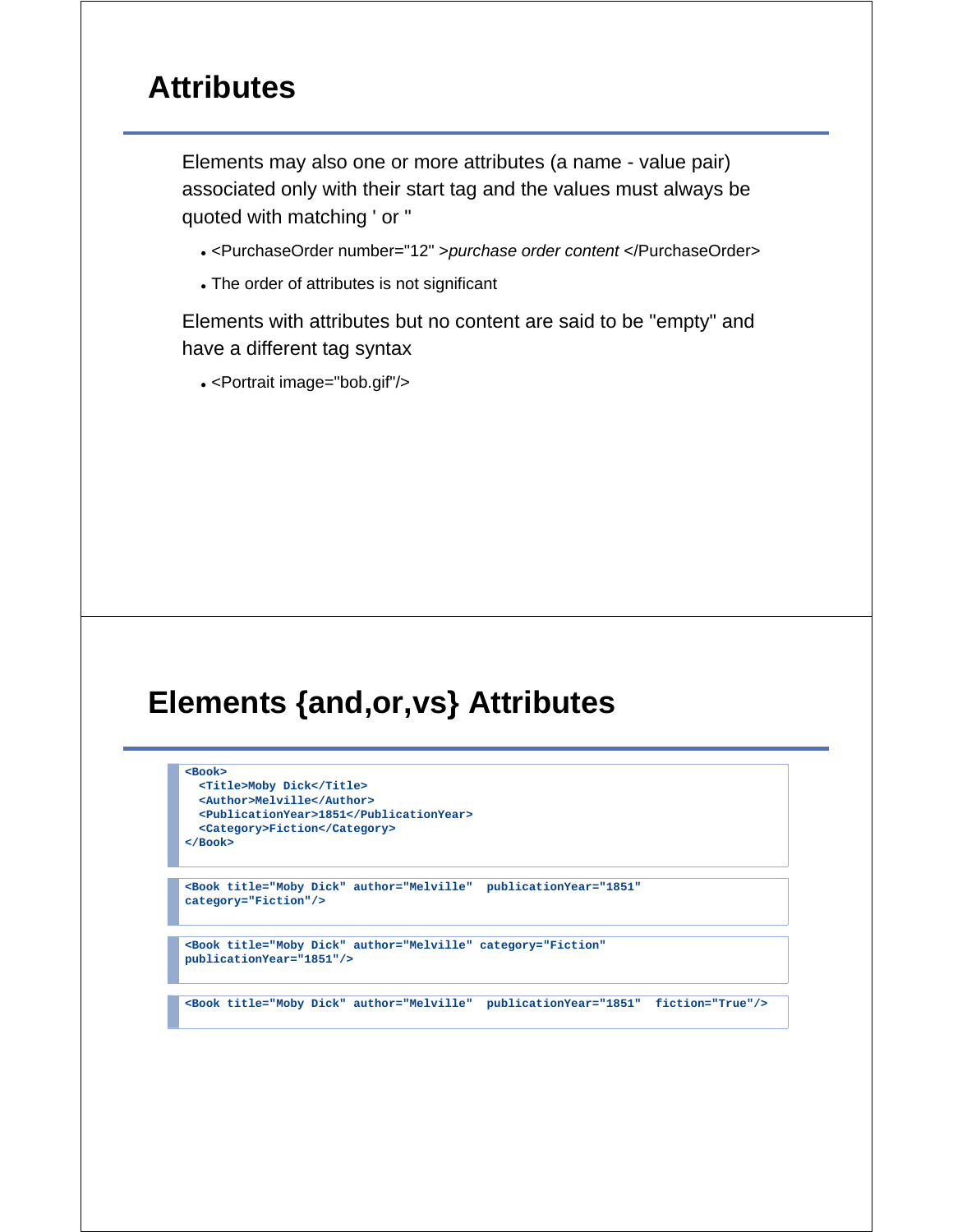#### **Attributes**

Elements may also one or more attributes (a name - value pair) associated only with their start tag and the values must always be quoted with matching ' or "

- <PurchaseOrder number="12" >*purchase order content* </PurchaseOrder>
- The order of attributes is not significant

Elements with attributes but no content are said to be "empty" and have a different tag syntax

<Portrait image="bob.gif"/>

#### **Elements {and,or,vs} Attributes**

#### **<Book>**

 **<Title>Moby Dick</Title> <Author>Melville</Author> <PublicationYear>1851</PublicationYear> <Category>Fiction</Category> </Book>**

**<Book title="Moby Dick" author="Melville" publicationYear="1851" category="Fiction"/>**

**<Book title="Moby Dick" author="Melville" category="Fiction" publicationYear="1851"/>**

**<Book title="Moby Dick" author="Melville" publicationYear="1851" fiction="True"/>**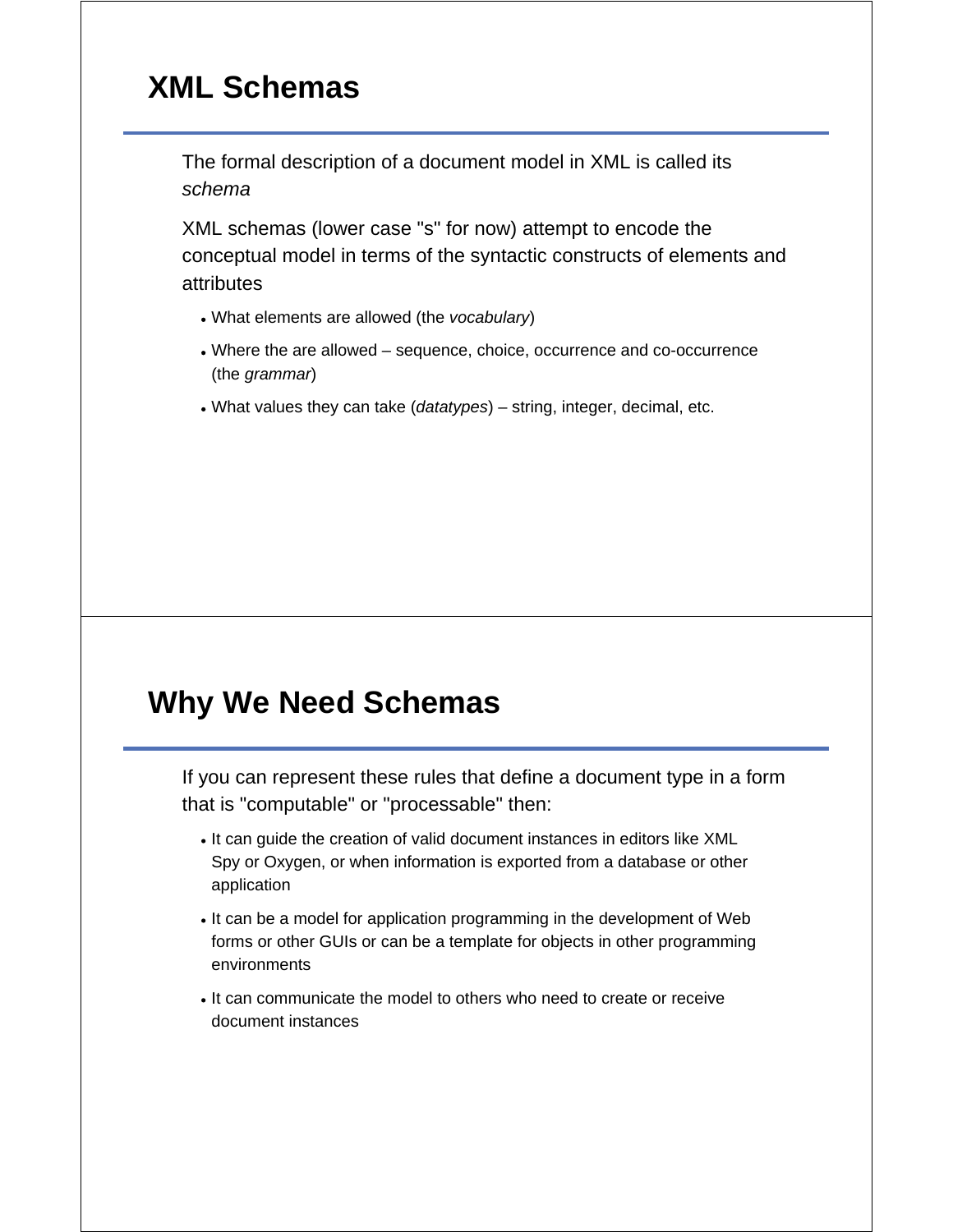# **XML Schemas**

The formal description of a document model in XML is called its *schema*

XML schemas (lower case "s" for now) attempt to encode the conceptual model in terms of the syntactic constructs of elements and attributes

- What elements are allowed (the *vocabulary*)
- Where the are allowed sequence, choice, occurrence and co-occurrence (the *grammar*)
- What values they can take (*datatypes*) string, integer, decimal, etc.

### **Why We Need Schemas**

If you can represent these rules that define a document type in a form that is "computable" or "processable" then:

- It can guide the creation of valid document instances in editors like XML Spy or Oxygen, or when information is exported from a database or other application
- It can be a model for application programming in the development of Web forms or other GUIs or can be a template for objects in other programming environments
- It can communicate the model to others who need to create or receive document instances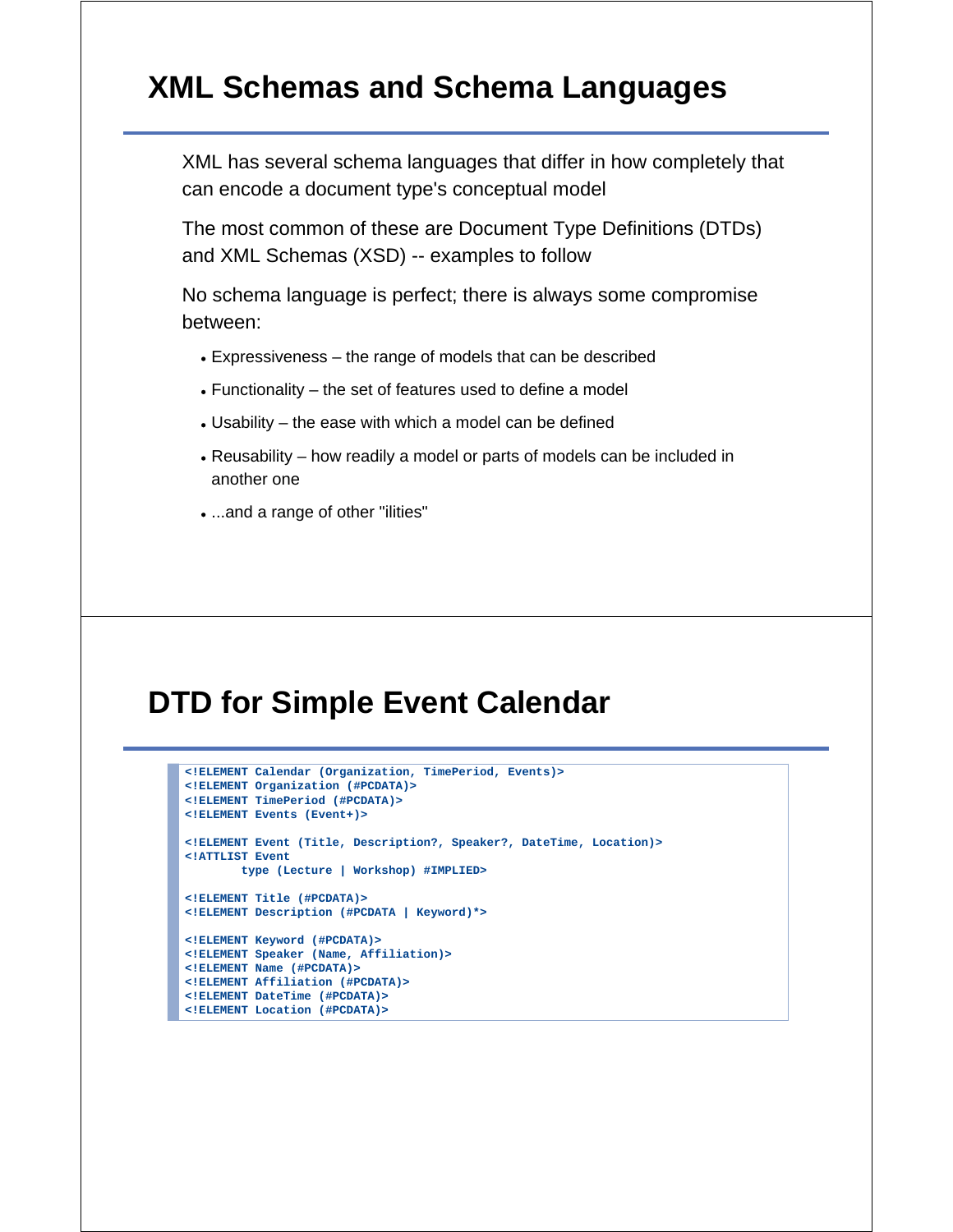#### **XML Schemas and Schema Languages**

XML has several schema languages that differ in how completely that can encode a document type's conceptual model

The most common of these are Document Type Definitions (DTDs) and XML Schemas (XSD) -- examples to follow

No schema language is perfect; there is always some compromise between:

- Expressiveness the range of models that can be described
- Functionality the set of features used to define a model
- Usability the ease with which a model can be defined
- Reusability how readily a model or parts of models can be included in another one
- ...and a range of other "ilities"

#### **DTD for Simple Event Calendar**

```
<!ELEMENT Calendar (Organization, TimePeriod, Events)>
<!ELEMENT Organization (#PCDATA)>
<!ELEMENT TimePeriod (#PCDATA)>
<!ELEMENT Events (Event+)>
<!ELEMENT Event (Title, Description?, Speaker?, DateTime, Location)>
<!ATTLIST Event
        type (Lecture | Workshop) #IMPLIED>
<!ELEMENT Title (#PCDATA)>
<!ELEMENT Description (#PCDATA | Keyword)*>
<!ELEMENT Keyword (#PCDATA)>
<!ELEMENT Speaker (Name, Affiliation)>
<!ELEMENT Name (#PCDATA)>
<!ELEMENT Affiliation (#PCDATA)>
<!ELEMENT DateTime (#PCDATA)>
<!ELEMENT Location (#PCDATA)>
```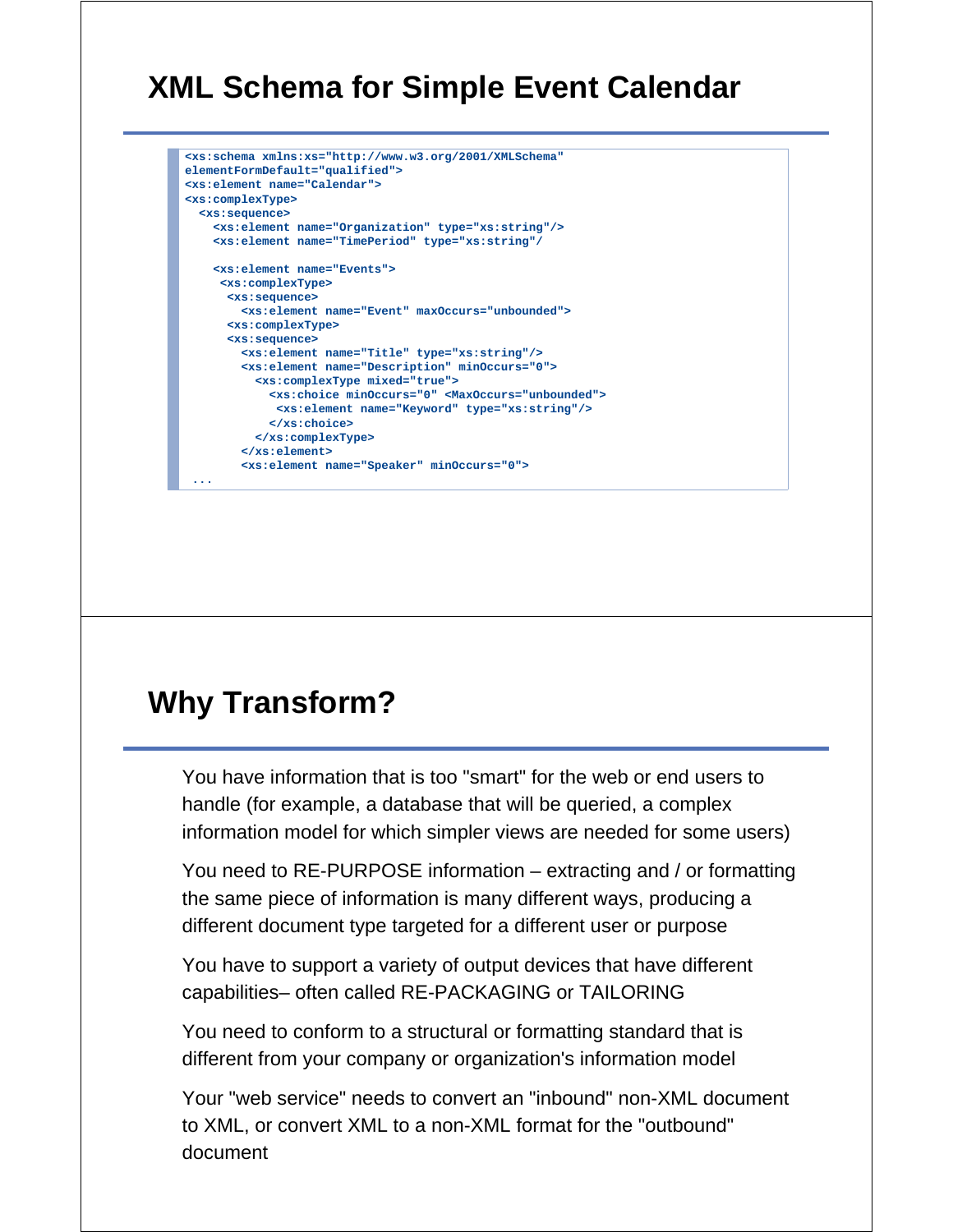# **XML Schema for Simple Event Calendar**

```
<xs:schema xmlns:xs="http://www.w3.org/2001/XMLSchema" 
elementFormDefault="qualified">
<xs:element name="Calendar">
<xs:complexType>
  <xs:sequence>
    <xs:element name="Organization" type="xs:string"/>
    <xs:element name="TimePeriod" type="xs:string"/
    <xs:element name="Events">
     <xs:complexType>
      <xs:sequence>
        <xs:element name="Event" maxOccurs="unbounded">
      <xs:complexType>
      <xs:sequence>
        <xs:element name="Title" type="xs:string"/>
        <xs:element name="Description" minOccurs="0">
          <xs:complexType mixed="true">
            <xs:choice minOccurs="0" <MaxOccurs="unbounded">
              <xs:element name="Keyword" type="xs:string"/>
            </xs:choice>
          </xs:complexType>
        </xs:element>
        <xs:element name="Speaker" minOccurs="0">
 ...
```
# **Why Transform?**

You have information that is too "smart" for the web or end users to handle (for example, a database that will be queried, a complex information model for which simpler views are needed for some users)

You need to RE-PURPOSE information – extracting and / or formatting the same piece of information is many different ways, producing a different document type targeted for a different user or purpose

You have to support a variety of output devices that have different capabilities– often called RE-PACKAGING or TAILORING

You need to conform to a structural or formatting standard that is different from your company or organization's information model

Your "web service" needs to convert an "inbound" non-XML document to XML, or convert XML to a non-XML format for the "outbound" document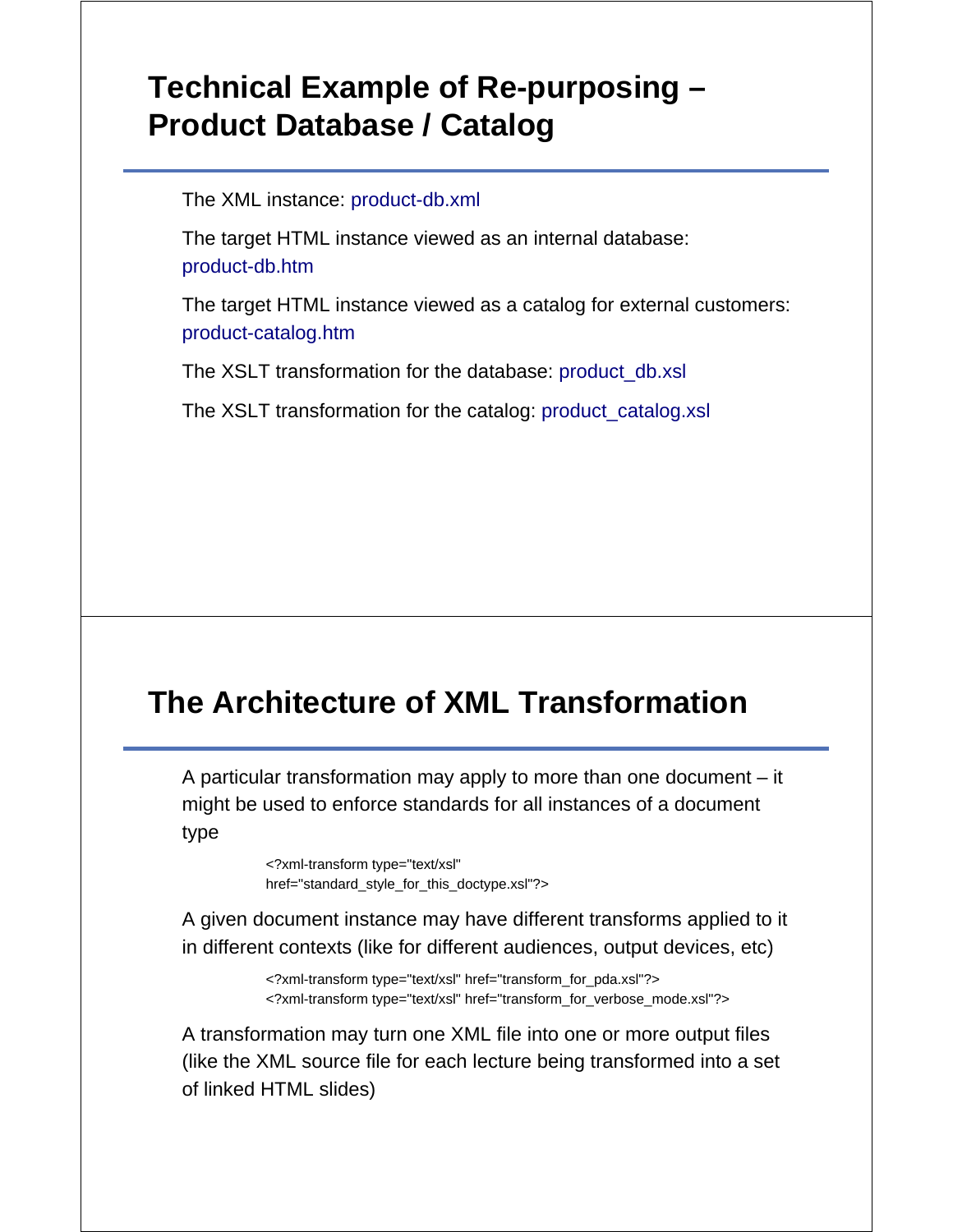# **Technical Example of Re-purposing – Product Database / Catalog**

The XML instance: product-db.xml

The target HTML instance viewed as an internal database: product-db.htm

The target HTML instance viewed as a catalog for external customers: product-catalog.htm

The XSLT transformation for the database: product\_db.xsl

The XSLT transformation for the catalog: product\_catalog.xsl

# **The Architecture of XML Transformation**

A particular transformation may apply to more than one document – it might be used to enforce standards for all instances of a document type

> <?xml-transform type="text/xsl" href="standard\_style\_for\_this\_doctype.xsl"?>

A given document instance may have different transforms applied to it in different contexts (like for different audiences, output devices, etc)

> <?xml-transform type="text/xsl" href="transform\_for\_pda.xsl"?> <?xml-transform type="text/xsl" href="transform\_for\_verbose\_mode.xsl"?>

A transformation may turn one XML file into one or more output files (like the XML source file for each lecture being transformed into a set of linked HTML slides)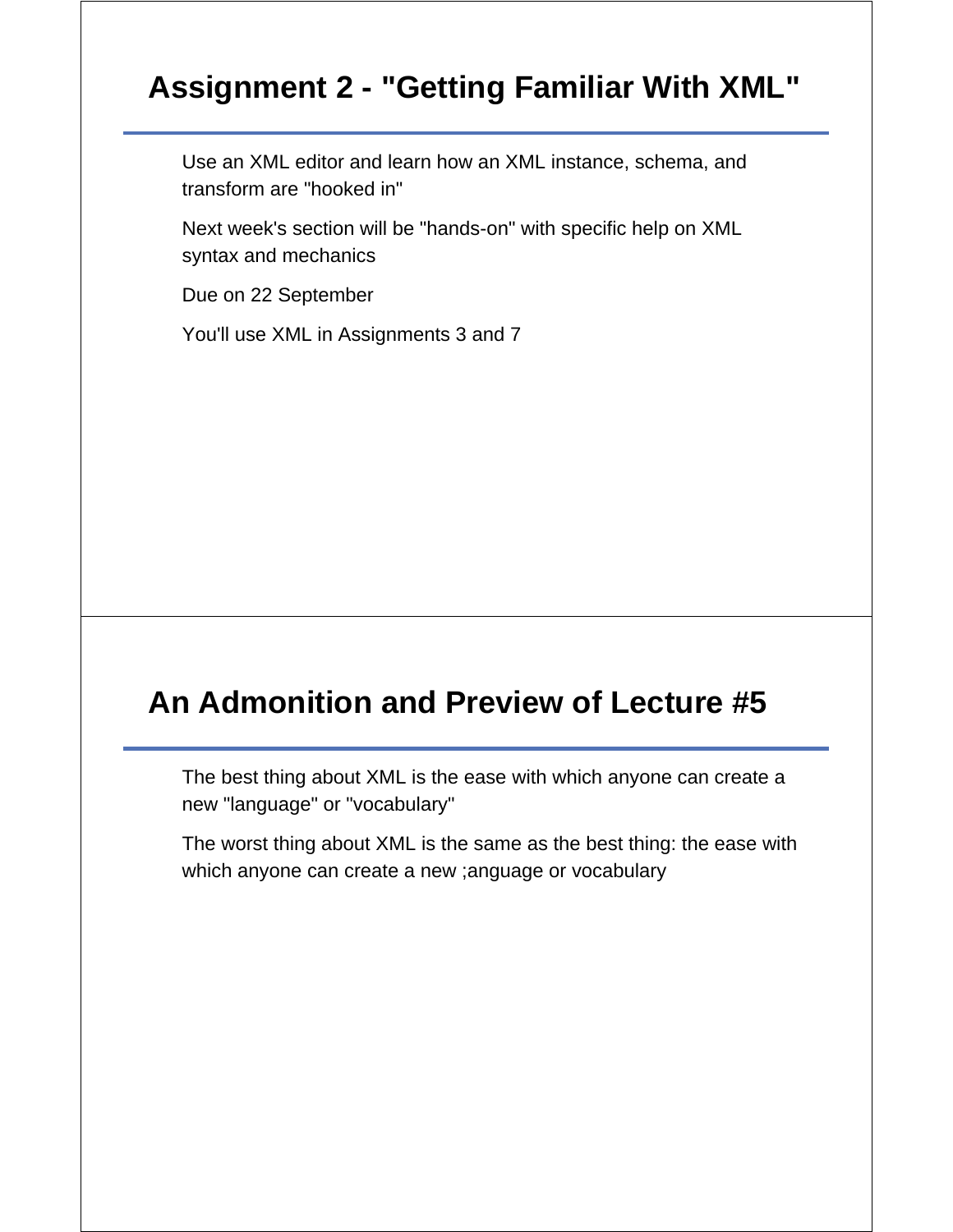# **Assignment 2 - "Getting Familiar With XML"**

Use an XML editor and learn how an XML instance, schema, and transform are "hooked in"

Next week's section will be "hands-on" with specific help on XML syntax and mechanics

Due on 22 September

You'll use XML in Assignments 3 and 7

### **An Admonition and Preview of Lecture #5**

The best thing about XML is the ease with which anyone can create a new "language" or "vocabulary"

The worst thing about XML is the same as the best thing: the ease with which anyone can create a new ;anguage or vocabulary